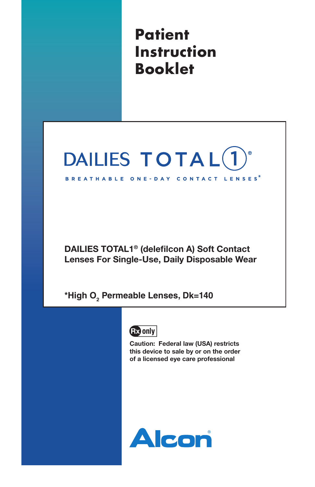**Patient Instruction Booklet**

# DAILIES TOTAL(1)  $^{\circ}$

BREATHABLE ONE-DAY CONTACT LENSES\*

**DAILIES TOTAL1® (delefilcon A) Soft Contact Lenses For Single-Use, Daily Disposable Wear**

**\*High O2 Permeable Lenses, Dk=140**



Caution: Federal law (USA) restricts this device to sale by or on the order of a licensed eye care professional

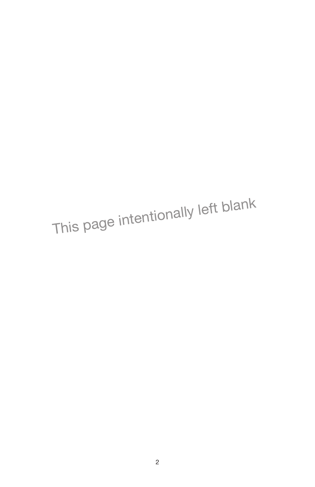This page intentionally left blank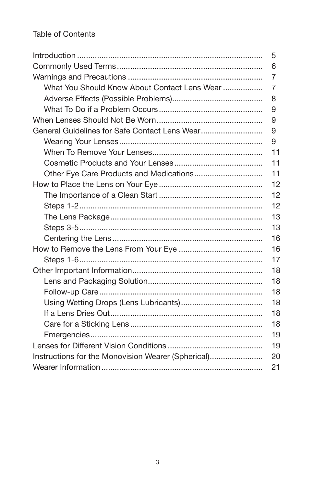# Table of Contents

|                                                    | 5  |
|----------------------------------------------------|----|
|                                                    | 6  |
|                                                    | 7  |
| What You Should Know About Contact Lens Wear       | 7  |
|                                                    | 8  |
|                                                    | 9  |
|                                                    | 9  |
| General Guidelines for Safe Contact Lens Wear      | 9  |
|                                                    | 9  |
|                                                    | 11 |
|                                                    | 11 |
|                                                    | 11 |
|                                                    | 12 |
|                                                    | 12 |
|                                                    | 12 |
|                                                    | 13 |
|                                                    | 13 |
|                                                    | 16 |
|                                                    | 16 |
|                                                    | 17 |
|                                                    | 18 |
|                                                    | 18 |
|                                                    | 18 |
|                                                    | 18 |
|                                                    | 18 |
|                                                    | 18 |
|                                                    | 19 |
|                                                    | 19 |
| Instructions for the Monovision Wearer (Spherical) | 20 |
|                                                    | 21 |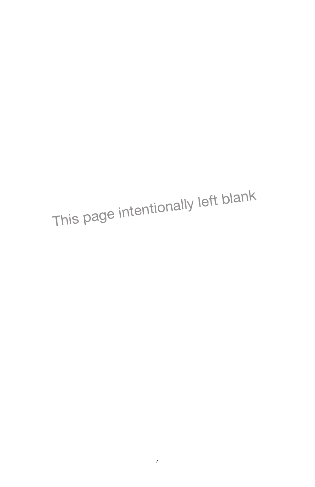This page intentionally left blank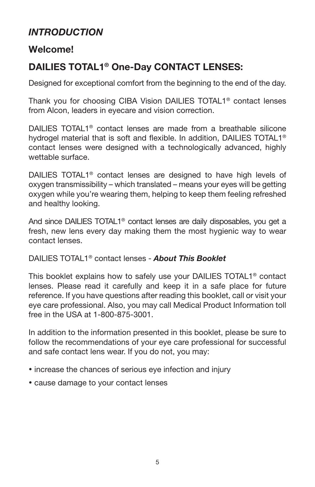# *INTRODUCTION*

# Welcome!

# DAILIES TOTAL1® One-Day CONTACT LENSES:

Designed for exceptional comfort from the beginning to the end of the day.

Thank you for choosing CIBA Vision DAILIES TOTAL1® contact lenses from Alcon, leaders in eyecare and vision correction.

DAILIES TOTAL1® contact lenses are made from a breathable silicone hydrogel material that is soft and flexible. In addition, DAILIES TOTAL1® contact lenses were designed with a technologically advanced, highly wettable surface.

DAILIES TOTAL1® contact lenses are designed to have high levels of oxygen transmissibility – which translated – means your eyes will be getting oxygen while you're wearing them, helping to keep them feeling refreshed and healthy looking.

And since DAILIES TOTAL1<sup>®</sup> contact lenses are daily disposables, you get a fresh, new lens every day making them the most hygienic way to wear contact lenses.

DAILIES TOTAL1® contact lenses - *About This Booklet*

This booklet explains how to safely use your DAILIES TOTAL1® contact lenses. Please read it carefully and keep it in a safe place for future reference. If you have questions after reading this booklet, call or visit your eye care professional. Also, you may call Medical Product Information toll free in the USA at 1-800-875-3001.

In addition to the information presented in this booklet, please be sure to follow the recommendations of your eye care professional for successful and safe contact lens wear. If you do not, you may:

- increase the chances of serious eye infection and injury
- cause damage to your contact lenses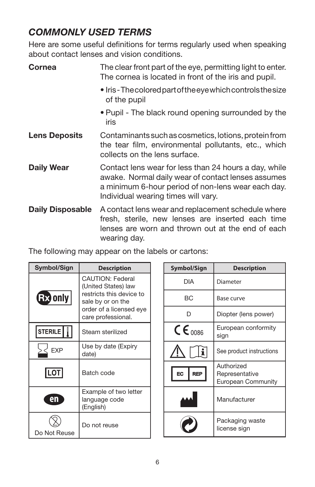# *COMMONLY USED TERMS*

Here are some useful definitions for terms regularly used when speaking about contact lenses and vision conditions.

| <b>Cornea</b>           | The clear front part of the eye, permitting light to enter.<br>The cornea is located in front of the iris and pupil.                                                                                     |  |  |  |
|-------------------------|----------------------------------------------------------------------------------------------------------------------------------------------------------------------------------------------------------|--|--|--|
|                         | • Iris-Thecolored part of the eye which controls the size<br>of the pupil                                                                                                                                |  |  |  |
|                         | . Pupil - The black round opening surrounded by the<br>iris                                                                                                                                              |  |  |  |
| <b>Lens Deposits</b>    | Contaminants such as cosmetics, lotions, protein from<br>the tear film, environmental pollutants, etc., which<br>collects on the lens surface.                                                           |  |  |  |
| <b>Daily Wear</b>       | Contact lens wear for less than 24 hours a day, while<br>awake. Normal daily wear of contact lenses assumes<br>a minimum 6-hour period of non-lens wear each day.<br>Individual wearing times will vary. |  |  |  |
| <b>Daily Disposable</b> | A contact lens wear and replacement schedule where<br>fresh, sterile, new lenses are inserted each time<br>lenses are worn and thrown out at the end of each                                             |  |  |  |

wearing day. The following may appear on the labels or cartons:

| Symbol/Sign    | <b>Description</b>                                  |  | Symbol/Sign             | <b>Description</b>                                        |
|----------------|-----------------------------------------------------|--|-------------------------|-----------------------------------------------------------|
| <b>EX</b> only | <b>CAUTION: Federal</b><br>(United States) law      |  | <b>DIA</b>              | Diameter                                                  |
|                | restricts this device to<br>sale by or on the       |  | <b>BC</b>               | Base curve                                                |
|                | order of a licensed eye<br>care professional.       |  | D                       | Diopter (lens power)                                      |
| <b>STERILE</b> | Steam sterilized                                    |  | $\mathsf{CE}_{0086}$    | European conformity<br>sign                               |
| <b>EXP</b>     | Use by date (Expiry<br>date)                        |  |                         | See product instructions                                  |
| LO1            | Batch code                                          |  | <b>REP</b><br><b>EC</b> | Authorized<br>Representative<br><b>European Community</b> |
| en             | Example of two letter<br>language code<br>(English) |  |                         | Manufacturer                                              |
| Do Not Reuse   | Do not reuse                                        |  |                         | Packaging waste<br>license sign                           |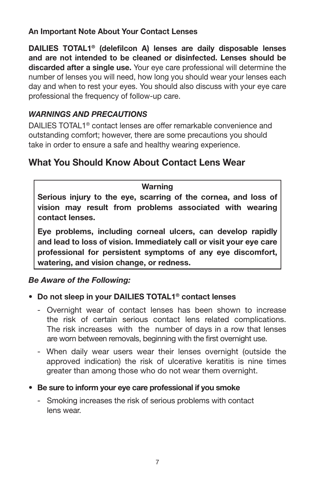# An Important Note About Your Contact Lenses

DAILIES TOTAL1® (delefilcon A) lenses are daily disposable lenses and are not intended to be cleaned or disinfected. Lenses should be discarded after a single use. Your eye care professional will determine the number of lenses you will need, how long you should wear your lenses each day and when to rest your eyes. You should also discuss with your eye care professional the frequency of follow-up care.

# *WARNINGS AND PRECAUTIONS*

DAILIES TOTAL1® contact lenses are offer remarkable convenience and outstanding comfort; however, there are some precautions you should take in order to ensure a safe and healthy wearing experience.

# What You Should Know About Contact Lens Wear

#### **Warning**

Serious injury to the eye, scarring of the cornea, and loss of vision may result from problems associated with wearing contact lenses.

Eye problems, including corneal ulcers, can develop rapidly and lead to loss of vision. Immediately call or visit your eye care professional for persistent symptoms of any eye discomfort, watering, and vision change, or redness.

*Be Aware of the Following:*

## • Do not sleep in your DAILIES TOTAL1® contact lenses

- Overnight wear of contact lenses has been shown to increase the risk of certain serious contact lens related complications. The risk increases with the number of days in a row that lenses are worn between removals, beginning with the first overnight use.
- When daily wear users wear their lenses overnight (outside the approved indication) the risk of ulcerative keratitis is nine times greater than among those who do not wear them overnight.
- Be sure to inform your eye care professional if you smoke
	- Smoking increases the risk of serious problems with contact lens wear.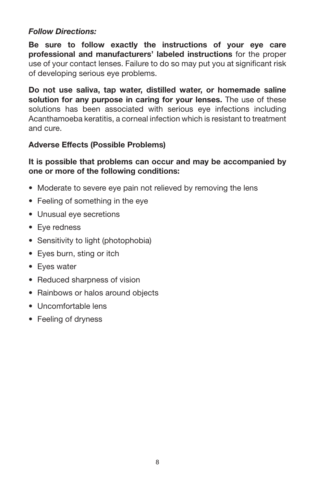# *Follow Directions:*

Be sure to follow exactly the instructions of your eye care professional and manufacturers' labeled instructions for the proper use of your contact lenses. Failure to do so may put you at significant risk of developing serious eye problems.

Do not use saliva, tap water, distilled water, or homemade saline solution for any purpose in caring for your lenses. The use of these solutions has been associated with serious eye infections including Acanthamoeba keratitis, a corneal infection which is resistant to treatment and cure.

## Adverse Effects (Possible Problems)

#### It is possible that problems can occur and may be accompanied by one or more of the following conditions:

- Moderate to severe eye pain not relieved by removing the lens
- Feeling of something in the eye
- Unusual eye secretions
- Eye redness
- Sensitivity to light (photophobia)
- Eyes burn, sting or itch
- Eyes water
- Reduced sharpness of vision
- Rainbows or halos around objects
- Uncomfortable lens
- Feeling of dryness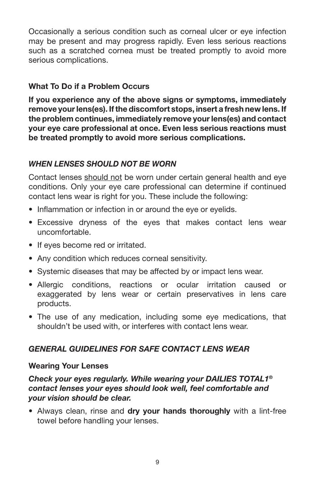Occasionally a serious condition such as corneal ulcer or eye infection may be present and may progress rapidly. Even less serious reactions such as a scratched cornea must be treated promptly to avoid more serious complications.

# What To Do if a Problem Occurs

If you experience any of the above signs or symptoms, immediately remove your lens(es). If the discomfort stops, insert a fresh new lens. If the problem continues, immediately remove your lens(es) and contact your eye care professional at once. Even less serious reactions must be treated promptly to avoid more serious complications.

# *WHEN LENSES SHOULD NOT BE WORN*

Contact lenses should not be worn under certain general health and eye conditions. Only your eye care professional can determine if continued contact lens wear is right for you. These include the following:

- Inflammation or infection in or around the eye or eyelids.
- Excessive dryness of the eyes that makes contact lens wear uncomfortable.
- If eyes become red or irritated.
- Any condition which reduces corneal sensitivity.
- Systemic diseases that may be affected by or impact lens wear.
- Allergic conditions, reactions or ocular irritation caused or exaggerated by lens wear or certain preservatives in lens care products.
- The use of any medication, including some eye medications, that shouldn't be used with, or interferes with contact lens wear.

# *GENERAL GUIDELINES FOR SAFE CONTACT LENS WEAR*

#### Wearing Your Lenses

## *Check your eyes regularly. While wearing your DAILIES TOTAL1® contact lenses your eyes should look well, feel comfortable and your vision should be clear.*

• Always clean, rinse and dry your hands thoroughly with a lint-free towel before handling your lenses.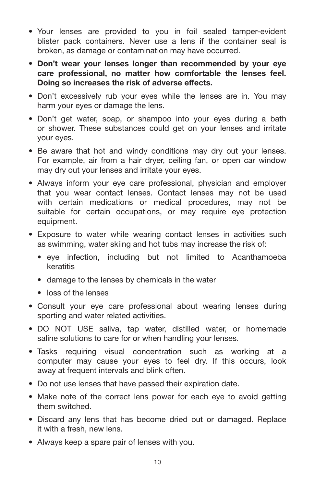- Your lenses are provided to you in foil sealed tamper-evident blister pack containers. Never use a lens if the container seal is broken, as damage or contamination may have occurred.
- Don't wear your lenses longer than recommended by your eye care professional, no matter how comfortable the lenses feel. Doing so increases the risk of adverse effects.
- Don't excessively rub your eyes while the lenses are in. You may harm your eyes or damage the lens.
- Don't get water, soap, or shampoo into your eyes during a bath or shower. These substances could get on your lenses and irritate your eyes.
- Be aware that hot and windy conditions may dry out your lenses. For example, air from a hair dryer, ceiling fan, or open car window may dry out your lenses and irritate your eyes.
- Always inform your eye care professional, physician and employer that you wear contact lenses. Contact lenses may not be used with certain medications or medical procedures, may not be suitable for certain occupations, or may require eye protection equipment.
- Exposure to water while wearing contact lenses in activities such as swimming, water skiing and hot tubs may increase the risk of:
	- eye infection, including but not limited to Acanthamoeba keratitis
	- damage to the lenses by chemicals in the water
	- loss of the lenses
- Consult your eye care professional about wearing lenses during sporting and water related activities.
- DO NOT USE saliva, tap water, distilled water, or homemade saline solutions to care for or when handling your lenses.
- Tasks requiring visual concentration such as working at a computer may cause your eyes to feel dry. If this occurs, look away at frequent intervals and blink often.
- Do not use lenses that have passed their expiration date.
- Make note of the correct lens power for each eye to avoid getting them switched.
- Discard any lens that has become dried out or damaged. Replace it with a fresh, new lens.
- Always keep a spare pair of lenses with you.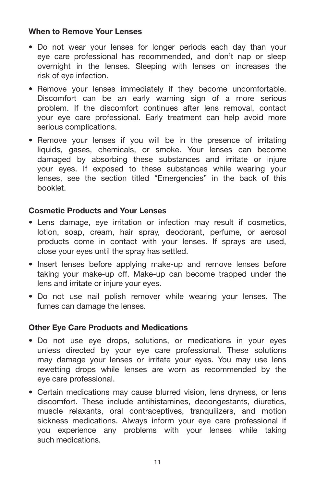#### When to Remove Your Lenses

- Do not wear your lenses for longer periods each day than your eye care professional has recommended, and don't nap or sleep overnight in the lenses. Sleeping with lenses on increases the risk of eye infection.
- Remove your lenses immediately if they become uncomfortable. Discomfort can be an early warning sign of a more serious problem. If the discomfort continues after lens removal, contact your eye care professional. Early treatment can help avoid more serious complications.
- Remove your lenses if you will be in the presence of irritating liquids, gases, chemicals, or smoke. Your lenses can become damaged by absorbing these substances and irritate or injure your eyes. If exposed to these substances while wearing your lenses, see the section titled "Emergencies" in the back of this booklet.

#### Cosmetic Products and Your Lenses

- Lens damage, eye irritation or infection may result if cosmetics, lotion, soap, cream, hair spray, deodorant, perfume, or aerosol products come in contact with your lenses. If sprays are used, close your eyes until the spray has settled.
- Insert lenses before applying make-up and remove lenses before taking your make-up off. Make-up can become trapped under the lens and irritate or injure your eyes.
- Do not use nail polish remover while wearing your lenses. The fumes can damage the lenses.

#### Other Eye Care Products and Medications

- Do not use eye drops, solutions, or medications in your eyes unless directed by your eye care professional. These solutions may damage your lenses or irritate your eyes. You may use lens rewetting drops while lenses are worn as recommended by the eye care professional.
- Certain medications may cause blurred vision, lens dryness, or lens discomfort. These include antihistamines, decongestants, diuretics, muscle relaxants, oral contraceptives, tranquilizers, and motion sickness medications. Always inform your eye care professional if you experience any problems with your lenses while taking such medications.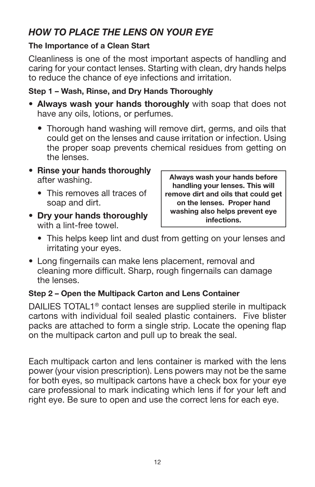# *HOW TO PLACE THE LENS ON YOUR EYE*

# The Importance of a Clean Start

Cleanliness is one of the most important aspects of handling and caring for your contact lenses. Starting with clean, dry hands helps to reduce the chance of eye infections and irritation.

# Step 1 – Wash, Rinse, and Dry Hands Thoroughly

- Always wash your hands thoroughly with soap that does not have any oils, lotions, or perfumes.
	- Thorough hand washing will remove dirt, germs, and oils that could get on the lenses and cause irritation or infection. Using the proper soap prevents chemical residues from getting on the lenses.
- Rinse your hands thoroughly after washing.
	- This removes all traces of soap and dirt.
- Dry your hands thoroughly with a lint-free towel.

Always wash your hands before handling your lenses. This will remove dirt and oils that could get on the lenses. Proper hand washing also helps prevent eye infections.

- This helps keep lint and dust from getting on your lenses and irritating your eyes.
- Long fingernails can make lens placement, removal and cleaning more difficult. Sharp, rough fingernails can damage the lenses.

# Step 2 – Open the Multipack Carton and Lens Container

DAILIES TOTAL1® contact lenses are supplied sterile in multipack cartons with individual foil sealed plastic containers. Five blister packs are attached to form a single strip. Locate the opening flap on the multipack carton and pull up to break the seal.

Each multipack carton and lens container is marked with the lens power (your vision prescription). Lens powers may not be the same for both eyes, so multipack cartons have a check box for your eye care professional to mark indicating which lens if for your left and right eye. Be sure to open and use the correct lens for each eye.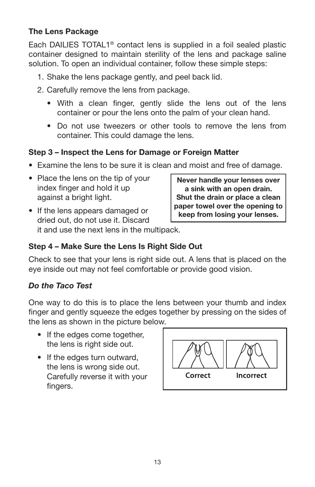# The Lens Package

Each DAILIES TOTAL1® contact lens is supplied in a foil sealed plastic container designed to maintain sterility of the lens and package saline solution. To open an individual container, follow these simple steps:

- 1. Shake the lens package gently, and peel back lid.
- 2. Carefully remove the lens from package.
	- With a clean finger, gently slide the lens out of the lens container or pour the lens onto the palm of your clean hand.
	- Do not use tweezers or other tools to remove the lens from container. This could damage the lens.

# Step 3 – Inspect the Lens for Damage or Foreign Matter

- Examine the lens to be sure it is clean and moist and free of damage.
- Place the lens on the tip of your index finger and hold it up against a bright light.
- Never handle your lenses over a sink with an open drain. Shut the drain or place a clean paper towel over the opening to keep from losing your lenses.
- If the lens appears damaged or dried out, do not use it. Discard it and use the next lens in the multipack.

# Step 4 – Make Sure the Lens Is Right Side Out

Check to see that your lens is right side out. A lens that is placed on the eye inside out may not feel comfortable or provide good vision.

# *Do the Taco Test*

One way to do this is to place the lens between your thumb and index finger and gently squeeze the edges together by pressing on the sides of the lens as shown in the picture below.

- If the edges come together, the lens is right side out.
- If the edges turn outward, the lens is wrong side out. Carefully reverse it with your fingers.

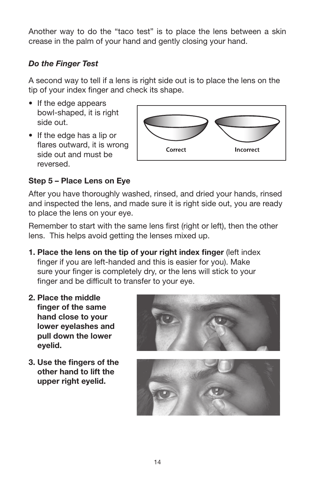Another way to do the "taco test" is to place the lens between a skin crease in the palm of your hand and gently closing your hand.

# *Do the Finger Test*

A second way to tell if a lens is right side out is to place the lens on the tip of your index finger and check its shape.

- If the edge appears bowl-shaped, it is right side out.
- If the edge has a lip or flares outward, it is wrong side out and must be reversed.



## Step 5 – Place Lens on Eye

After you have thoroughly washed, rinsed, and dried your hands, rinsed and inspected the lens, and made sure it is right side out, you are ready to place the lens on your eye.

Remember to start with the same lens first (right or left), then the other lens. This helps avoid getting the lenses mixed up.

- 1. Place the lens on the tip of your right index finger (left index finger if you are left-handed and this is easier for you). Make sure your finger is completely dry, or the lens will stick to your finger and be difficult to transfer to your eye.
- 2. Place the middle finger of the same hand close to your lower eyelashes and pull down the lower eyelid.
- 3. Use the fingers of the other hand to lift the upper right eyelid.



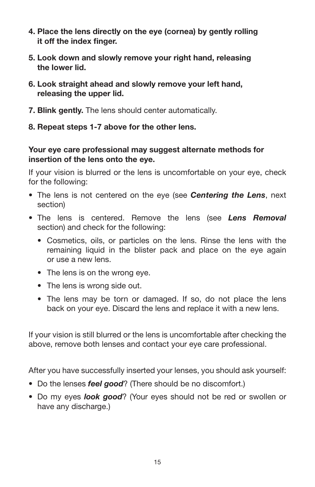- 4. Place the lens directly on the eye (cornea) by gently rolling it off the index finger.
- 5. Look down and slowly remove your right hand, releasing the lower lid.
- 6. Look straight ahead and slowly remove your left hand, releasing the upper lid.
- **7. Blink gently.** The lens should center automatically.

## 8. Repeat steps 1-7 above for the other lens.

#### Your eye care professional may suggest alternate methods for insertion of the lens onto the eye.

If your vision is blurred or the lens is uncomfortable on your eye, check for the following:

- The lens is not centered on the eye (see *Centering the Lens*, next section)
- The lens is centered. Remove the lens (see *Lens Removal*  section) and check for the following:
	- Cosmetics, oils, or particles on the lens. Rinse the lens with the remaining liquid in the blister pack and place on the eye again or use a new lens.
	- The lens is on the wrong eye.
	- The lens is wrong side out.
	- The lens may be torn or damaged. If so, do not place the lens back on your eye. Discard the lens and replace it with a new lens.

If your vision is still blurred or the lens is uncomfortable after checking the above, remove both lenses and contact your eye care professional.

After you have successfully inserted your lenses, you should ask yourself:

- Do the lenses *feel good*? (There should be no discomfort.)
- Do my eyes *look good*? (Your eyes should not be red or swollen or have any discharge.)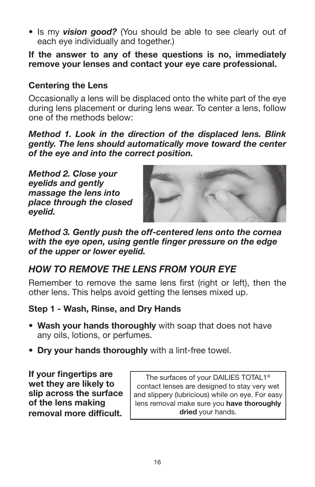• Is my *vision good?* (You should be able to see clearly out of each eye individually and together.)

If the answer to any of these questions is no, immediately remove your lenses and contact your eye care professional.

# Centering the Lens

Occasionally a lens will be displaced onto the white part of the eye during lens placement or during lens wear. To center a lens, follow one of the methods below:

*Method 1. Look in the direction of the displaced lens. Blink gently. The lens should automatically move toward the center of the eye and into the correct position.*

*Method 2. Close your eyelids and gently massage the lens into place through the closed eyelid.*



*Method 3. Gently push the off-centered lens onto the cornea with the eye open, using gentle finger pressure on the edge of the upper or lower eyelid.*

# *HOW TO REMOVE THE LENS FROM YOUR EYE*

Remember to remove the same lens first (right or left), then the other lens. This helps avoid getting the lenses mixed up.

# Step 1 - Wash, Rinse, and Dry Hands

- *•* Wash your hands thoroughly with soap that does not have any oils, lotions, or perfumes.
- Dry your hands thoroughly with a lint-free towel.

If your fingertips are wet they are likely to slip across the surface of the lens making removal more difficult.

The surfaces of your DAILIES TOTAL1® contact lenses are designed to stay very wet and slippery (lubricious) while on eye. For easy lens removal make sure you have thoroughly dried your hands.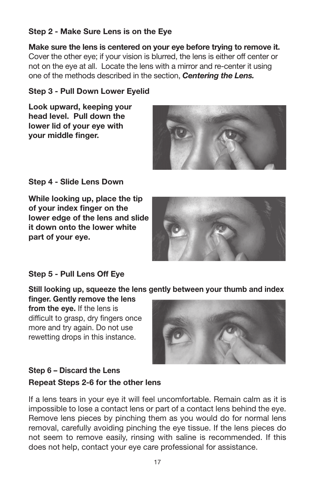# Step 2 - Make Sure Lens is on the Eye

Make sure the lens is centered on your eye before trying to remove it. Cover the other eye; if your vision is blurred, the lens is either off center or not on the eye at all. Locate the lens with a mirror and re-center it using one of the methods described in the section, *Centering the Lens.*

### Step 3 - Pull Down Lower Eyelid

Look upward, keeping your head level. Pull down the lower lid of your eye with your middle finger.



Step 4 - Slide Lens Down

While looking up, place the tip of your index finger on the lower edge of the lens and slide it down onto the lower white part of your eye.



# Step 5 - Pull Lens Off Eye

Still looking up, squeeze the lens gently between your thumb and index

finger. Gently remove the lens from the eye. If the lens is difficult to grasp, dry fingers once more and try again. Do not use rewetting drops in this instance.



# Step 6 – Discard the Lens Repeat Steps 2-6 for the other lens

If a lens tears in your eye it will feel uncomfortable. Remain calm as it is impossible to lose a contact lens or part of a contact lens behind the eye. Remove lens pieces by pinching them as you would do for normal lens removal, carefully avoiding pinching the eye tissue. If the lens pieces do not seem to remove easily, rinsing with saline is recommended. If this does not help, contact your eye care professional for assistance.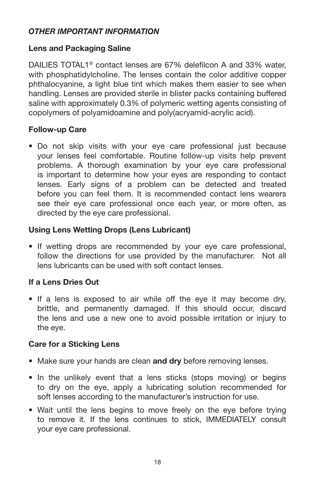# *OTHER IMPORTANT INFORMATION*

#### Lens and Packaging Saline

DAILIES TOTAL1® contact lenses are 67% delefilcon A and 33% water, with phosphatidylcholine. The lenses contain the color additive copper phthalocyanine, a light blue tint which makes them easier to see when handling. Lenses are provided sterile in blister packs containing buffered saline with approximately 0.3% of polymeric wetting agents consisting of copolymers of polyamidoamine and poly(acryamid-acrylic acid).

# Follow-up Care

• Do not skip visits with your eye care professional just because your lenses feel comfortable. Routine follow-up visits help prevent problems. A thorough examination by your eye care professional is important to determine how your eyes are responding to contact lenses. Early signs of a problem can be detected and treated before you can feel them. It is recommended contact lens wearers see their eye care professional once each year, or more often, as directed by the eye care professional.

# Using Lens Wetting Drops (Lens Lubricant)

• If wetting drops are recommended by your eye care professional, follow the directions for use provided by the manufacturer. Not all lens lubricants can be used with soft contact lenses.

# If a Lens Dries Out

• If a lens is exposed to air while off the eye it may become dry, brittle, and permanently damaged. If this should occur, discard the lens and use a new one to avoid possible irritation or injury to the eye.

# Care for a Sticking Lens

- Make sure your hands are clean and dry before removing lenses.
- In the unlikely event that a lens sticks (stops moving) or begins to dry on the eye, apply a lubricating solution recommended for soft lenses according to the manufacturer's instruction for use.
- Wait until the lens begins to move freely on the eye before trying to remove it. If the lens continues to stick, IMMEDIATELY consult your eye care professional.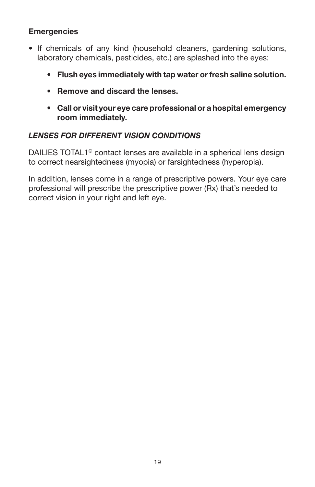# **Emergencies**

- If chemicals of any kind (household cleaners, gardening solutions, laboratory chemicals, pesticides, etc.) are splashed into the eyes:
	- Flush eyes immediately with tap water or fresh saline solution.
	- Remove and discard the lenses.
	- Call or visit your eye care professional or a hospital emergency room immediately.

# *LENSES FOR DIFFERENT VISION CONDITIONS*

DAILIES TOTAL1® contact lenses are available in a spherical lens design to correct nearsightedness (myopia) or farsightedness (hyperopia).

In addition, lenses come in a range of prescriptive powers. Your eye care professional will prescribe the prescriptive power (Rx) that's needed to correct vision in your right and left eye.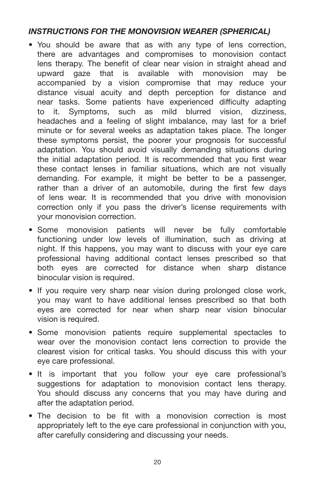### *INSTRUCTIONS FOR THE MONOVISION WEARER (SPHERICAL)*

- You should be aware that as with any type of lens correction, there are advantages and compromises to monovision contact lens therapy. The benefit of clear near vision in straight ahead and upward gaze that is available with monovision may be accompanied by a vision compromise that may reduce your distance visual acuity and depth perception for distance and near tasks. Some patients have experienced difficulty adapting to it. Symptoms, such as mild blurred vision, dizziness, headaches and a feeling of slight imbalance, may last for a brief minute or for several weeks as adaptation takes place. The longer these symptoms persist, the poorer your prognosis for successful adaptation. You should avoid visually demanding situations during the initial adaptation period. It is recommended that you first wear these contact lenses in familiar situations, which are not visually demanding. For example, it might be better to be a passenger, rather than a driver of an automobile, during the first few days of lens wear. It is recommended that you drive with monovision correction only if you pass the driver's license requirements with your monovision correction.
- Some monovision patients will never be fully comfortable functioning under low levels of illumination, such as driving at night. If this happens, you may want to discuss with your eye care professional having additional contact lenses prescribed so that both eyes are corrected for distance when sharp distance binocular vision is required.
- If you require very sharp near vision during prolonged close work, you may want to have additional lenses prescribed so that both eyes are corrected for near when sharp near vision binocular vision is required.
- Some monovision patients require supplemental spectacles to wear over the monovision contact lens correction to provide the clearest vision for critical tasks. You should discuss this with your eye care professional.
- It is important that you follow your eye care professional's suggestions for adaptation to monovision contact lens therapy. You should discuss any concerns that you may have during and after the adaptation period.
- The decision to be fit with a monovision correction is most appropriately left to the eye care professional in conjunction with you, after carefully considering and discussing your needs.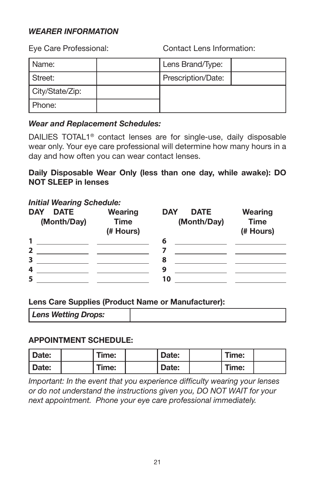### *WEARER INFORMATION*

Eye Care Professional: Contact Lens Information:

| Name:           | Lens Brand/Type:   |  |
|-----------------|--------------------|--|
| Street:         | Prescription/Date: |  |
| City/State/Zip: |                    |  |
| Phone:          |                    |  |

### *Wear and Replacement Schedules:*

DAILIES TOTAL1® contact lenses are for single-use, daily disposable wear only. Your eye care professional will determine how many hours in a day and how often you can wear contact lenses.

# Daily Disposable Wear Only (less than one day, while awake): DO NOT SLEEP in lenses

#### *Initial Wearing Schedule:*

| <b>DAY</b><br><b>DATE</b><br>(Month/Day) | Wearing<br><b>Time</b><br>(# Hours) | <b>DAY</b><br><b>DATE</b><br>(Month/Day) | Wearing<br><b>Time</b><br>(# Hours) |
|------------------------------------------|-------------------------------------|------------------------------------------|-------------------------------------|
| 1                                        |                                     | 6                                        |                                     |
| $\overline{2}$                           |                                     |                                          |                                     |
| 3                                        |                                     | 8                                        |                                     |
| 4                                        |                                     |                                          |                                     |
| 5                                        |                                     | 10                                       |                                     |

#### Lens Care Supplies (Product Name or Manufacturer):

| <b>Lens Wetting Drops:</b> |  |
|----------------------------|--|
|                            |  |

#### APPOINTMENT SCHEDULE:

| Date: | Time: | Date: | Time: |  |
|-------|-------|-------|-------|--|
| Date: | Time: | Date: | Time: |  |

*Important: In the event that you experience difficulty wearing your lenses or do not understand the instructions given you, DO NOT WAIT for your next appointment. Phone your eye care professional immediately.*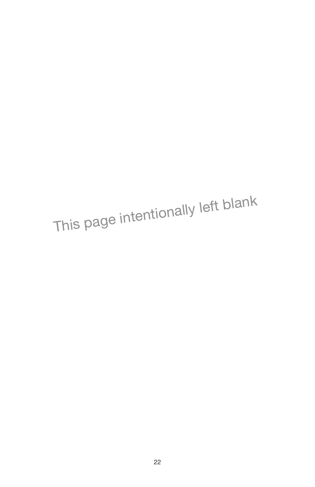This page intentionally left blank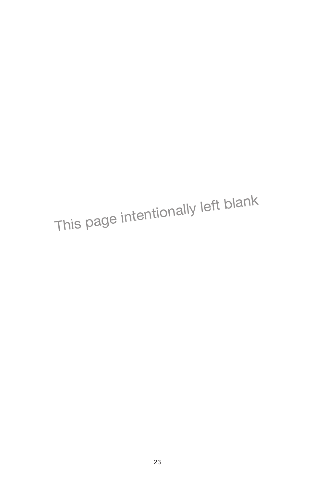This page intentionally left blank